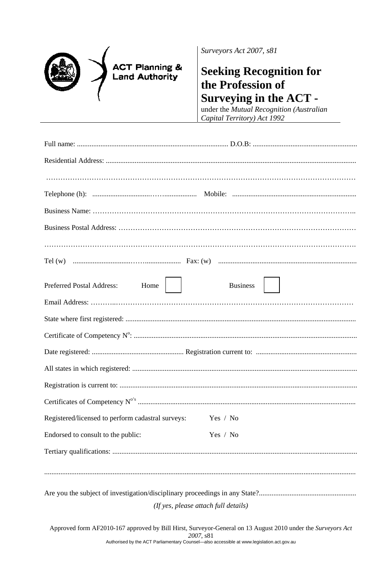|  |  | <b>ACT Planning &amp;</b><br><b>Land Authority</b> |
|--|--|----------------------------------------------------|
|--|--|----------------------------------------------------|

Surveyors Act 2007, s81

## **Seeking Recognition for** the Profession of **Surveying in the ACT -**

under the Mutual Recognition (Australian Capital Territory) Act 1992

| <b>Preferred Postal Address:</b><br>Home                   | <b>Business</b> |  |  |  |
|------------------------------------------------------------|-----------------|--|--|--|
|                                                            |                 |  |  |  |
|                                                            |                 |  |  |  |
|                                                            |                 |  |  |  |
|                                                            |                 |  |  |  |
|                                                            |                 |  |  |  |
|                                                            |                 |  |  |  |
|                                                            |                 |  |  |  |
| Registered/licensed to perform cadastral surveys: Yes / No |                 |  |  |  |
| Endorsed to consult to the public:<br>Yes / No             |                 |  |  |  |
|                                                            |                 |  |  |  |
|                                                            |                 |  |  |  |
|                                                            |                 |  |  |  |
|                                                            |                 |  |  |  |
| (If yes, please attach full details)                       |                 |  |  |  |

Approved form AF2010-167 approved by Bill Hirst, Surveyor-General on 13 August 2010 under the Surveyors Act 2007, s81 Authorised by the ACT Parliamentary Counsel-also accessible at www.legislation.act.gov.au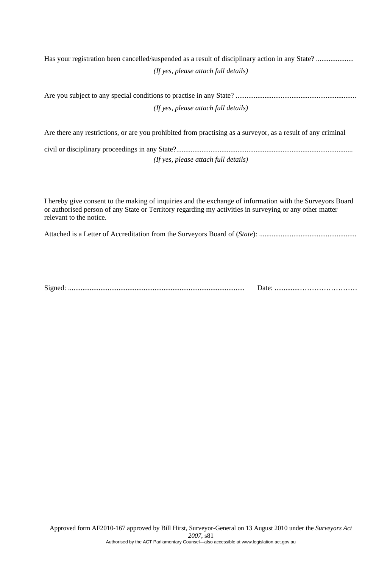Has your registration been cancelled/suspended as a result of disciplinary action in any State? ..................... *(If yes, please attach full details)* 

| (If yes, please attach full details) |
|--------------------------------------|

Are there any restrictions, or are you prohibited from practising as a surveyor, as a result of any criminal civil or disciplinary proceedings in any State?..................................................................................................

*(If yes, please attach full details)* 

I hereby give consent to the making of inquiries and the exchange of information with the Surveyors Board or authorised person of any State or Territory regarding my activities in surveying or any other matter relevant to the notice.

Attached is a Letter of Accreditation from the Surveyors Board of (*State*): ......................................................

Signed: .................................................................................................. Date: ..............……………………